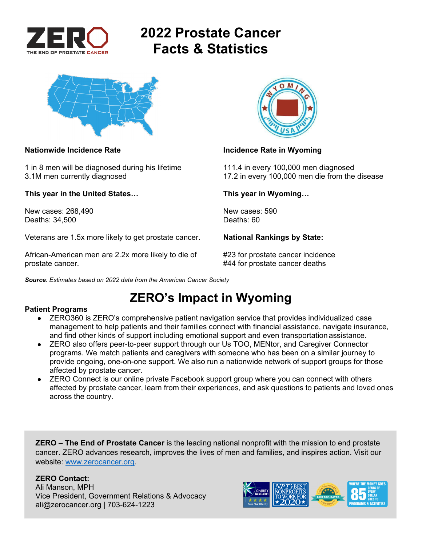

# **2022 Prostate Cancer Facts & Statistics**



1 in 8 men will be diagnosed during his lifetime 111.4 in every 100,000 men diagnosed

**This year in the United States… This year in Wyoming…** 

New cases: 268.490 New cases: 590 Deaths: 34,500 Deaths: 60

Veterans are 1.5x more likely to get prostate cancer. **National Rankings by State:** 

African-American men are 2.2x more likely to die of #23 for prostate cancer incidence prostate cancer. **At a set of the set of the set of the set of the set of the set of the set of the set of the set of the set of the set of the set of the set of the set of the set of the set of the set of the set of the s** 





### **Nationwide Incidence Rate Incidence Rate in Wyoming Limits Control of the Incidence Rate in Wyoming**

3.1M men currently diagnosed 17.2 in every 100,000 men die from the disease

## **ZERO's Impact in Wyoming**

### **Patient Programs**

- ZERO360 is ZERO's comprehensive patient navigation service that provides individualized case management to help patients and their families connect with financial assistance, navigate insurance, and find other kinds of support including emotional support and even transportation assistance.
- ZERO also offers peer-to-peer support through our Us TOO, MENtor, and Caregiver Connector programs. We match patients and caregivers with someone who has been on a similar journey to provide ongoing, one-on-one support. We also run a nationwide network of support groups for those affected by prostate cancer.
- ZERO Connect is our online private Facebook support group where you can connect with others affected by prostate cancer, learn from their experiences, and ask questions to patients and loved ones across the country.

**ZERO – The End of Prostate Cancer** is the leading national nonprofit with the mission to end prostate cancer. ZERO advances research, improves the lives of men and families, and inspires action. Visit our website: www.zerocancer.org.

### **ZERO Contact:**

Ali Manson, MPH Vice President, Government Relations & Advocacy ali@zerocancer.org | 703-624-1223